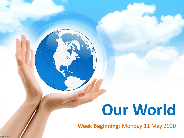# **Our World**

**Week Beginning:** Monday 11 May 2020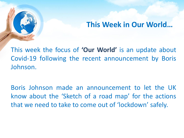# **This Week in Our World…**

This week the focus of **'Our World'** is an update about Covid-19 following the recent announcement by Boris Johnson.

Boris Johnson made an announcement to let the UK know about the 'Sketch of a road map' for the actions that we need to take to come out of 'lockdown' safely.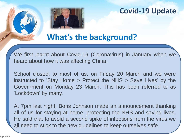

# **What's the background?**

We first learnt about Covid-19 (Coronavirus) in January when we heard about how it was affecting China.

School closed, to most of us, on Friday 20 March and we were instructed to 'Stay Home > Protect the NHS > Save Lives' by the Government on Monday 23 March. This has been referred to as 'Lockdown' by many.

At 7pm last night, Boris Johnson made an announcement thanking all of us for staying at home, protecting the NHS and saving lives. He said that to avoid a second spike of infections from the virus we all need to stick to the new guidelines to keep ourselves safe.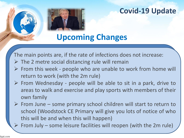**Upcoming Changes**

The main points are, if the rate of infections does not increase:

- $\triangleright$  The 2 metre social distancing rule will remain
- ➢ From this week people who are unable to work from home will return to work (with the 2m rule)
- ➢ From Wednesday people will be able to sit in a park, drive to areas to walk and exercise and play sports with members of their own family
- $\triangleright$  From June some primary school children will start to return to school (Woodstock CE Primary will give you lots of notice of who this will be and when this will happen)

 $\triangleright$  From July – some leisure facilities will reopen (with the 2m rule)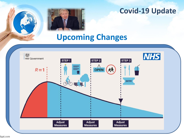

# **Upcoming Changes**

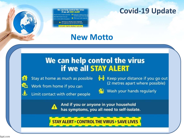#### We can help control the virus if we all STAY ALERT

home as much as possible **the Keep your distance if y** 

And if you or anyone in your household is symptoms, you all need to self-is-

AY ALERT > CONTROL THE VIRUS > SAVE

# **New Motto**

# We can help control the virus if we all STAY ALERT



ه

Stay at home as much as possible



Limit contact with other people

₹→↑ Keep your distance if you go out (2 metres apart where possible)



Wash your hands regularly

And if you or anyone in your household has symptoms, you all need to self-isolate.

**STAY ALERT > CONTROL THE VIRUS > SAVE LIVES**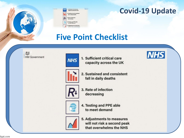

| HS | 1. Sufficient critical care<br>capacity across the UK     |
|----|-----------------------------------------------------------|
|    | 2. Sustained and consistent<br>fall in daily deaths       |
|    | 3. Rate of infection<br>decreasing                        |
|    | 4. Testing and PPE able<br>to meet demand                 |
|    | 5. Adjustments to measures<br>will not risk a second peak |

# **Five Point Checklist**

 $\Delta H$ 





1. Sufficient critical care capacity across the UK





2. Sustained and consistent fall in daily deaths



3. Rate of infection decreasing



4. Testing and PPE able to meet demand



**5. Adjustments to measures** will not risk a second peak that overwhelms the NHS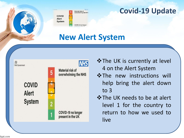# **New Alert System**

**IATH** 

Material risk of overwhelming the NH

COVID-19 no longe

**COVID** Alert **System** 



- $\dots$ The UK is currently at level 4 on the Alert System
- ❖The new instructions will help bring the alert down to 3
- ❖The UK needs to be at alert level 1 for the country to return to how we used to live